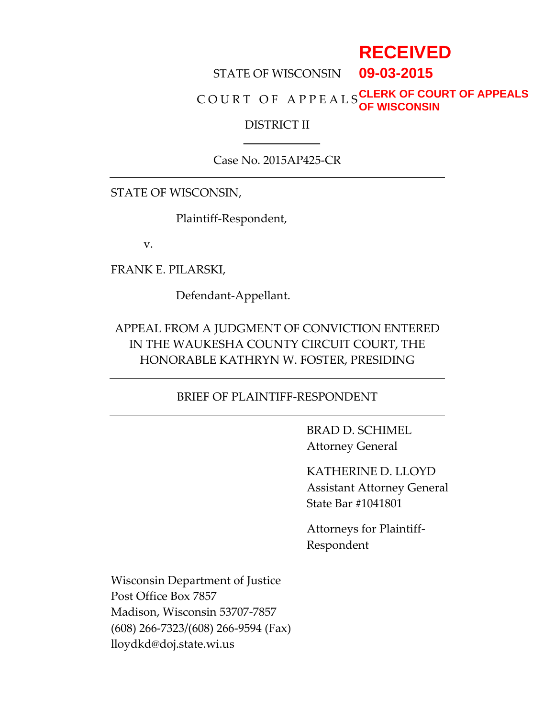# **RECEIVED**

#### STATE OF WISCONSIN **09-03-2015**

#### C O U R T O F A P P E A L S **CLERK OF COURT OF APPEALS OF WISCONSIN**

#### DISTRICT II

### Case No. 2015AP425-CR

STATE OF WISCONSIN,

Plaintiff-Respondent,

v.

FRANK E. PILARSKI,

Defendant-Appellant.

### APPEAL FROM A JUDGMENT OF CONVICTION ENTERED IN THE WAUKESHA COUNTY CIRCUIT COURT, THE HONORABLE KATHRYN W. FOSTER, PRESIDING

### BRIEF OF PLAINTIFF-RESPONDENT

BRAD D. SCHIMEL Attorney General

KATHERINE D. LLOYD Assistant Attorney General State Bar #1041801

Attorneys for Plaintiff-Respondent

Wisconsin Department of Justice Post Office Box 7857 Madison, Wisconsin 53707-7857 (608) 266-7323/(608) 266-9594 (Fax) lloydkd@doj.state.wi.us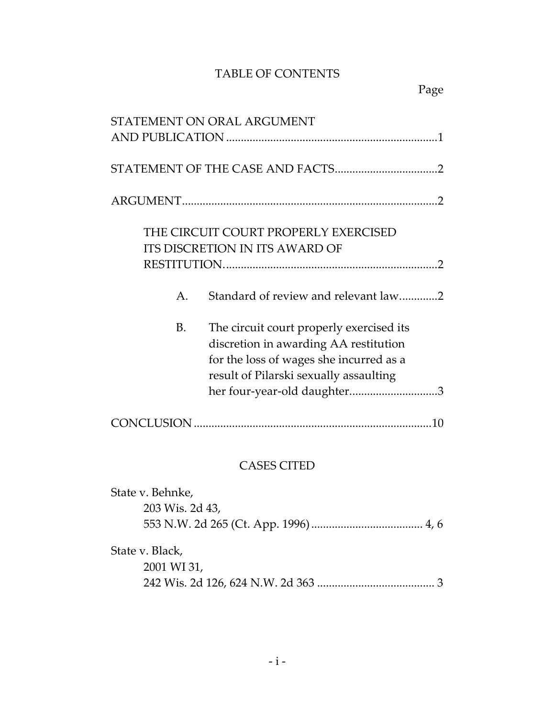### TABLE OF CONTENTS

| STATEMENT ON ORAL ARGUMENT                                                                                                                                                                                  |  |  |
|-------------------------------------------------------------------------------------------------------------------------------------------------------------------------------------------------------------|--|--|
|                                                                                                                                                                                                             |  |  |
|                                                                                                                                                                                                             |  |  |
| THE CIRCUIT COURT PROPERLY EXERCISED<br><b>ITS DISCRETION IN ITS AWARD OF</b>                                                                                                                               |  |  |
| Standard of review and relevant law2<br>Α.                                                                                                                                                                  |  |  |
| The circuit court properly exercised its<br>В.<br>discretion in awarding AA restitution<br>for the loss of wages she incurred as a<br>result of Pilarski sexually assaulting<br>her four-year-old daughter3 |  |  |
|                                                                                                                                                                                                             |  |  |
| <b>CASES CITED</b>                                                                                                                                                                                          |  |  |
| State v. Behnke,<br>203 Wis. 2d 43,                                                                                                                                                                         |  |  |
| State v. Black,<br>2001 WI 31,<br>3                                                                                                                                                                         |  |  |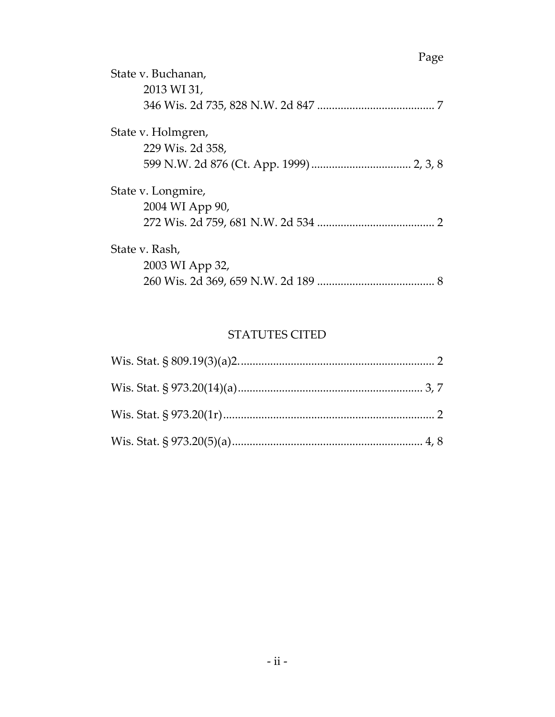| State v. Buchanan,<br>2013 WI 31, |
|-----------------------------------|
| State v. Holmgren,                |
| 229 Wis. 2d 358,                  |
|                                   |
| State v. Longmire,                |
| 2004 WI App 90,                   |
|                                   |
| State v. Rash,                    |
| 2003 WI App 32,                   |
|                                   |

### STATUTES CITED

## Page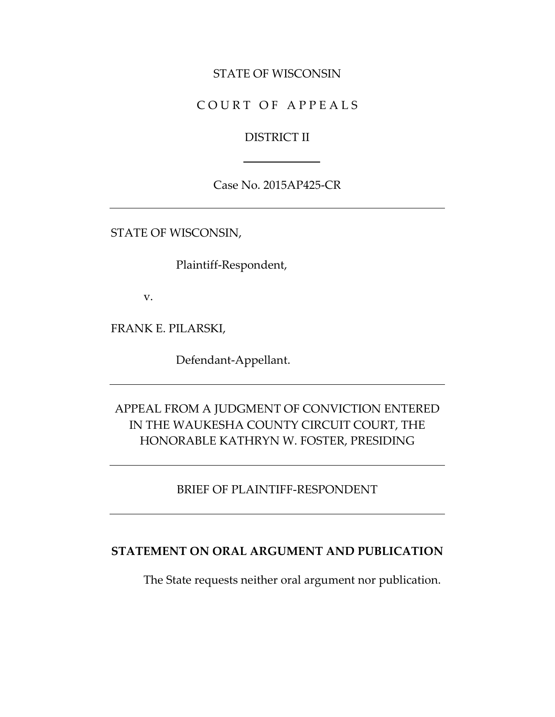### STATE OF WISCONSIN

### COURT OF APPEALS

### DISTRICT II

Case No. 2015AP425-CR

STATE OF WISCONSIN,

Plaintiff-Respondent,

v.

FRANK E. PILARSKI,

Defendant-Appellant.

### APPEAL FROM A JUDGMENT OF CONVICTION ENTERED IN THE WAUKESHA COUNTY CIRCUIT COURT, THE HONORABLE KATHRYN W. FOSTER, PRESIDING

### BRIEF OF PLAINTIFF-RESPONDENT

#### **STATEMENT ON ORAL ARGUMENT AND PUBLICATION**

The State requests neither oral argument nor publication.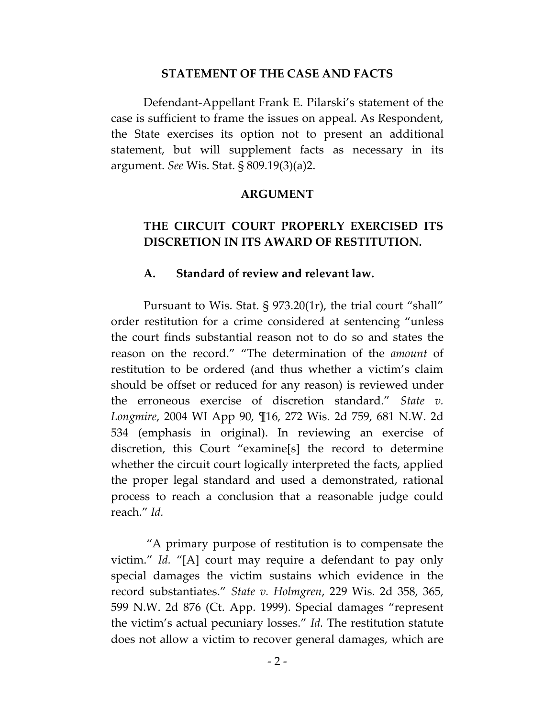#### **STATEMENT OF THE CASE AND FACTS**

Defendant-Appellant Frank E. Pilarski's statement of the case is sufficient to frame the issues on appeal. As Respondent, the State exercises its option not to present an additional statement, but will supplement facts as necessary in its argument. *See* Wis. Stat. § 809.19(3)(a)2.

#### **ARGUMENT**

### **THE CIRCUIT COURT PROPERLY EXERCISED ITS DISCRETION IN ITS AWARD OF RESTITUTION.**

#### **A. Standard of review and relevant law.**

Pursuant to Wis. Stat. § 973.20(1r), the trial court "shall" order restitution for a crime considered at sentencing "unless the court finds substantial reason not to do so and states the reason on the record." "The determination of the *amount* of restitution to be ordered (and thus whether a victim's claim should be offset or reduced for any reason) is reviewed under the erroneous exercise of discretion standard." *State v. Longmire*, 2004 WI App 90, ¶16, 272 Wis. 2d 759, 681 N.W. 2d 534 (emphasis in original). In reviewing an exercise of discretion, this Court "examine[s] the record to determine whether the circuit court logically interpreted the facts, applied the proper legal standard and used a demonstrated, rational process to reach a conclusion that a reasonable judge could reach." *Id.*

"A primary purpose of restitution is to compensate the victim." *Id.* "[A] court may require a defendant to pay only special damages the victim sustains which evidence in the record substantiates." *State v. Holmgren*, 229 Wis. 2d 358, 365, 599 N.W. 2d 876 (Ct. App. 1999). Special damages "represent the victim's actual pecuniary losses." *Id.* The restitution statute does not allow a victim to recover general damages, which are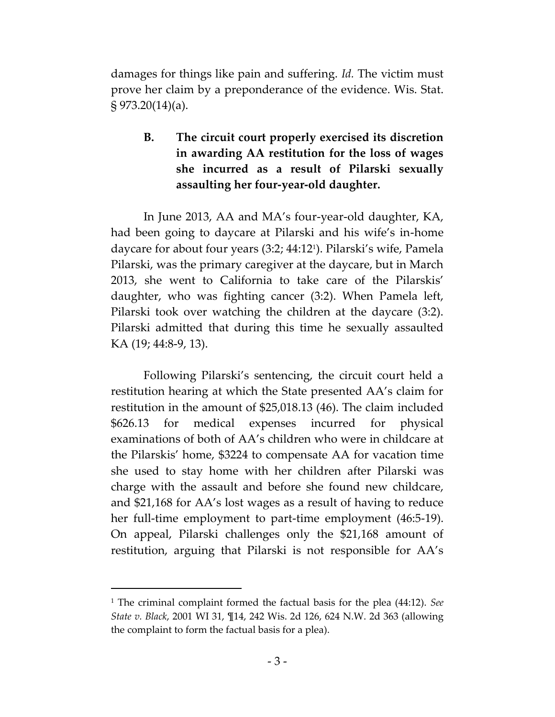damages for things like pain and suffering. *Id.* The victim must prove her claim by a preponderance of the evidence. Wis. Stat. § 973.20(14)(a).

### **B. The circuit court properly exercised its discretion in awarding AA restitution for the loss of wages she incurred as a result of Pilarski sexually assaulting her four-year-old daughter.**

In June 2013, AA and MA's four-year-old daughter, KA, had been going to daycare at Pilarski and his wife's in-home daycare for about four years (3:2; 44:12<sup>1</sup> ). Pilarski's wife, Pamela Pilarski, was the primary caregiver at the daycare, but in March 2013, she went to California to take care of the Pilarskis' daughter, who was fighting cancer (3:2). When Pamela left, Pilarski took over watching the children at the daycare (3:2). Pilarski admitted that during this time he sexually assaulted KA (19; 44:8-9, 13).

Following Pilarski's sentencing, the circuit court held a restitution hearing at which the State presented AA's claim for restitution in the amount of \$25,018.13 (46). The claim included \$626.13 for medical expenses incurred for physical examinations of both of AA's children who were in childcare at the Pilarskis' home, \$3224 to compensate AA for vacation time she used to stay home with her children after Pilarski was charge with the assault and before she found new childcare, and \$21,168 for AA's lost wages as a result of having to reduce her full-time employment to part-time employment (46:5-19). On appeal, Pilarski challenges only the \$21,168 amount of restitution, arguing that Pilarski is not responsible for AA's

<sup>1</sup> The criminal complaint formed the factual basis for the plea (44:12). *See State v. Black*, 2001 WI 31, ¶14, 242 Wis. 2d 126, 624 N.W. 2d 363 (allowing the complaint to form the factual basis for a plea).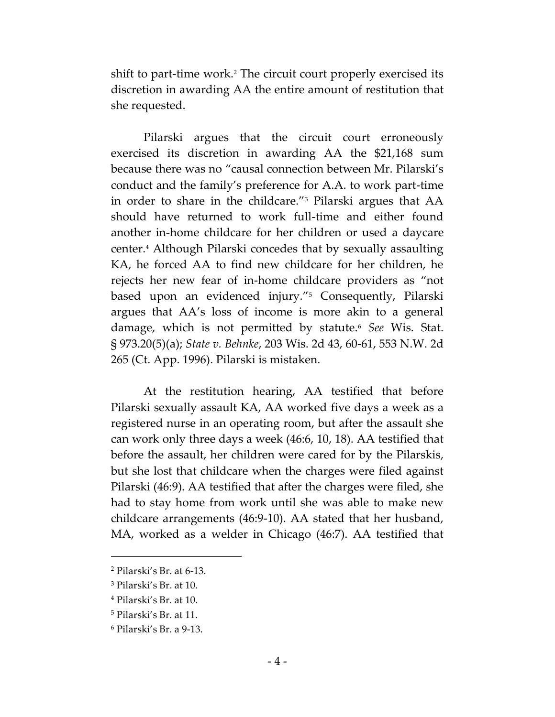shift to part-time work.<sup>2</sup> The circuit court properly exercised its discretion in awarding AA the entire amount of restitution that she requested.

Pilarski argues that the circuit court erroneously exercised its discretion in awarding AA the \$21,168 sum because there was no "causal connection between Mr. Pilarski's conduct and the family's preference for A.A. to work part-time in order to share in the childcare."<sup>3</sup> Pilarski argues that AA should have returned to work full-time and either found another in-home childcare for her children or used a daycare center.<sup>4</sup> Although Pilarski concedes that by sexually assaulting KA, he forced AA to find new childcare for her children, he rejects her new fear of in-home childcare providers as "not based upon an evidenced injury."<sup>5</sup> Consequently, Pilarski argues that AA's loss of income is more akin to a general damage, which is not permitted by statute.<sup>6</sup> *See* Wis. Stat. § 973.20(5)(a); *State v. Behnke*, 203 Wis. 2d 43, 60-61, 553 N.W. 2d 265 (Ct. App. 1996). Pilarski is mistaken.

At the restitution hearing, AA testified that before Pilarski sexually assault KA, AA worked five days a week as a registered nurse in an operating room, but after the assault she can work only three days a week (46:6, 10, 18). AA testified that before the assault, her children were cared for by the Pilarskis, but she lost that childcare when the charges were filed against Pilarski (46:9). AA testified that after the charges were filed, she had to stay home from work until she was able to make new childcare arrangements (46:9-10). AA stated that her husband, MA, worked as a welder in Chicago (46:7). AA testified that

<sup>2</sup> Pilarski's Br. at 6-13.

<sup>3</sup> Pilarski's Br. at 10.

<sup>4</sup> Pilarski's Br. at 10.

<sup>5</sup> Pilarski's Br. at 11.

<sup>6</sup> Pilarski's Br. a 9-13.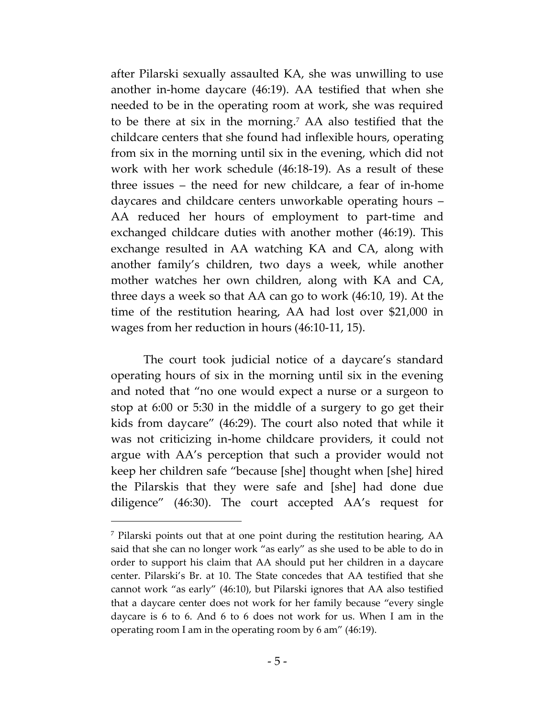after Pilarski sexually assaulted KA, she was unwilling to use another in-home daycare (46:19). AA testified that when she needed to be in the operating room at work, she was required to be there at six in the morning.<sup>7</sup> AA also testified that the childcare centers that she found had inflexible hours, operating from six in the morning until six in the evening, which did not work with her work schedule (46:18-19). As a result of these three issues – the need for new childcare, a fear of in-home daycares and childcare centers unworkable operating hours – AA reduced her hours of employment to part-time and exchanged childcare duties with another mother (46:19). This exchange resulted in AA watching KA and CA, along with another family's children, two days a week, while another mother watches her own children, along with KA and CA, three days a week so that AA can go to work (46:10, 19). At the time of the restitution hearing, AA had lost over \$21,000 in wages from her reduction in hours (46:10-11, 15).

The court took judicial notice of a daycare's standard operating hours of six in the morning until six in the evening and noted that "no one would expect a nurse or a surgeon to stop at 6:00 or 5:30 in the middle of a surgery to go get their kids from daycare" (46:29). The court also noted that while it was not criticizing in-home childcare providers, it could not argue with AA's perception that such a provider would not keep her children safe "because [she] thought when [she] hired the Pilarskis that they were safe and [she] had done due diligence" (46:30). The court accepted AA's request for

<sup>7</sup> Pilarski points out that at one point during the restitution hearing, AA said that she can no longer work "as early" as she used to be able to do in order to support his claim that AA should put her children in a daycare center. Pilarski's Br. at 10. The State concedes that AA testified that she cannot work "as early" (46:10), but Pilarski ignores that AA also testified that a daycare center does not work for her family because "every single daycare is 6 to 6. And 6 to 6 does not work for us. When I am in the operating room I am in the operating room by 6 am" (46:19).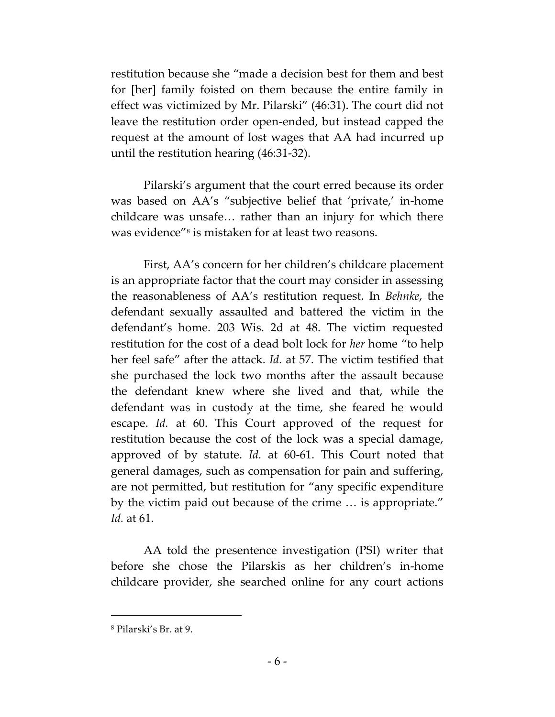restitution because she "made a decision best for them and best for [her] family foisted on them because the entire family in effect was victimized by Mr. Pilarski" (46:31). The court did not leave the restitution order open-ended, but instead capped the request at the amount of lost wages that AA had incurred up until the restitution hearing (46:31-32).

Pilarski's argument that the court erred because its order was based on AA's "subjective belief that 'private,' in-home childcare was unsafe… rather than an injury for which there was evidence"<sup>8</sup> is mistaken for at least two reasons.

First, AA's concern for her children's childcare placement is an appropriate factor that the court may consider in assessing the reasonableness of AA's restitution request. In *Behnke*, the defendant sexually assaulted and battered the victim in the defendant's home. 203 Wis. 2d at 48. The victim requested restitution for the cost of a dead bolt lock for *her* home "to help her feel safe" after the attack. *Id.* at 57. The victim testified that she purchased the lock two months after the assault because the defendant knew where she lived and that, while the defendant was in custody at the time, she feared he would escape. *Id.* at 60. This Court approved of the request for restitution because the cost of the lock was a special damage, approved of by statute. *Id.* at 60-61. This Court noted that general damages, such as compensation for pain and suffering, are not permitted, but restitution for "any specific expenditure by the victim paid out because of the crime … is appropriate." *Id.* at 61.

AA told the presentence investigation (PSI) writer that before she chose the Pilarskis as her children's in-home childcare provider, she searched online for any court actions

<sup>8</sup> Pilarski's Br. at 9.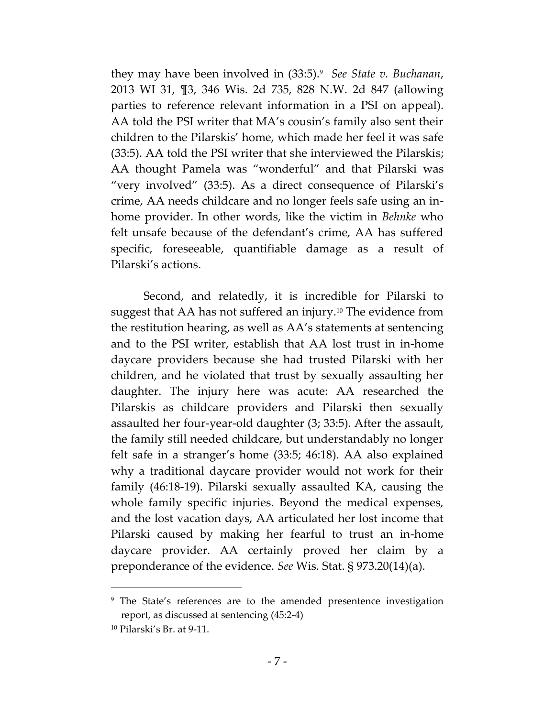they may have been involved in (33:5).<sup>9</sup> *See State v. Buchanan*, 2013 WI 31, ¶3, 346 Wis. 2d 735, 828 N.W. 2d 847 (allowing parties to reference relevant information in a PSI on appeal). AA told the PSI writer that MA's cousin's family also sent their children to the Pilarskis' home, which made her feel it was safe (33:5). AA told the PSI writer that she interviewed the Pilarskis; AA thought Pamela was "wonderful" and that Pilarski was "very involved" (33:5). As a direct consequence of Pilarski's crime, AA needs childcare and no longer feels safe using an inhome provider. In other words, like the victim in *Behnke* who felt unsafe because of the defendant's crime, AA has suffered specific, foreseeable, quantifiable damage as a result of Pilarski's actions.

Second, and relatedly, it is incredible for Pilarski to suggest that AA has not suffered an injury.<sup>10</sup> The evidence from the restitution hearing, as well as AA's statements at sentencing and to the PSI writer, establish that AA lost trust in in-home daycare providers because she had trusted Pilarski with her children, and he violated that trust by sexually assaulting her daughter. The injury here was acute: AA researched the Pilarskis as childcare providers and Pilarski then sexually assaulted her four-year-old daughter (3; 33:5). After the assault, the family still needed childcare, but understandably no longer felt safe in a stranger's home (33:5; 46:18). AA also explained why a traditional daycare provider would not work for their family (46:18-19). Pilarski sexually assaulted KA, causing the whole family specific injuries. Beyond the medical expenses, and the lost vacation days, AA articulated her lost income that Pilarski caused by making her fearful to trust an in-home daycare provider. AA certainly proved her claim by a preponderance of the evidence. *See* Wis. Stat. § 973.20(14)(a).

<sup>&</sup>lt;sup>9</sup> The State's references are to the amended presentence investigation report, as discussed at sentencing (45:2-4)

<sup>10</sup> Pilarski's Br. at 9-11.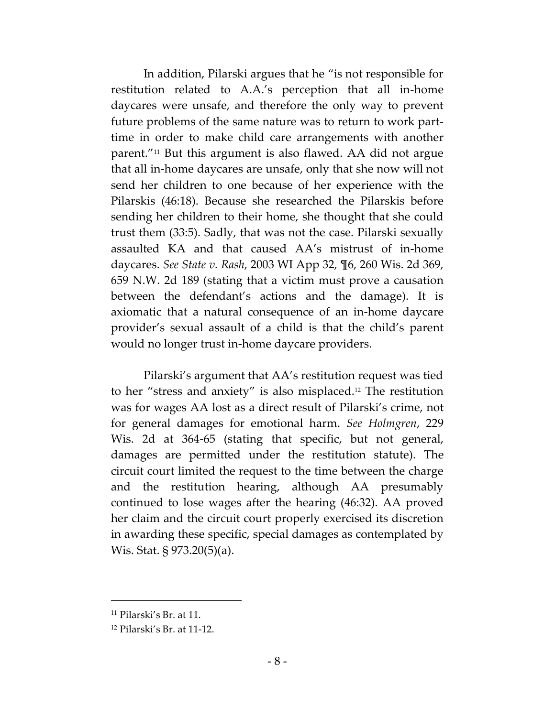In addition, Pilarski argues that he "is not responsible for restitution related to A.A.'s perception that all in-home daycares were unsafe, and therefore the only way to prevent future problems of the same nature was to return to work parttime in order to make child care arrangements with another parent."<sup>11</sup> But this argument is also flawed. AA did not argue that all in-home daycares are unsafe, only that she now will not send her children to one because of her experience with the Pilarskis (46:18). Because she researched the Pilarskis before sending her children to their home, she thought that she could trust them (33:5). Sadly, that was not the case. Pilarski sexually assaulted KA and that caused AA's mistrust of in-home daycares. *See State v. Rash*, 2003 WI App 32, ¶6, 260 Wis. 2d 369, 659 N.W. 2d 189 (stating that a victim must prove a causation between the defendant's actions and the damage). It is axiomatic that a natural consequence of an in-home daycare provider's sexual assault of a child is that the child's parent would no longer trust in-home daycare providers.

Pilarski's argument that AA's restitution request was tied to her "stress and anxiety" is also misplaced.<sup>12</sup> The restitution was for wages AA lost as a direct result of Pilarski's crime, not for general damages for emotional harm. *See Holmgren*, 229 Wis. 2d at 364-65 (stating that specific, but not general, damages are permitted under the restitution statute). The circuit court limited the request to the time between the charge and the restitution hearing, although AA presumably continued to lose wages after the hearing (46:32). AA proved her claim and the circuit court properly exercised its discretion in awarding these specific, special damages as contemplated by Wis. Stat. § 973.20(5)(a).

 $11$  Pilarski's Br. at 11.

<sup>12</sup> Pilarski's Br. at 11-12.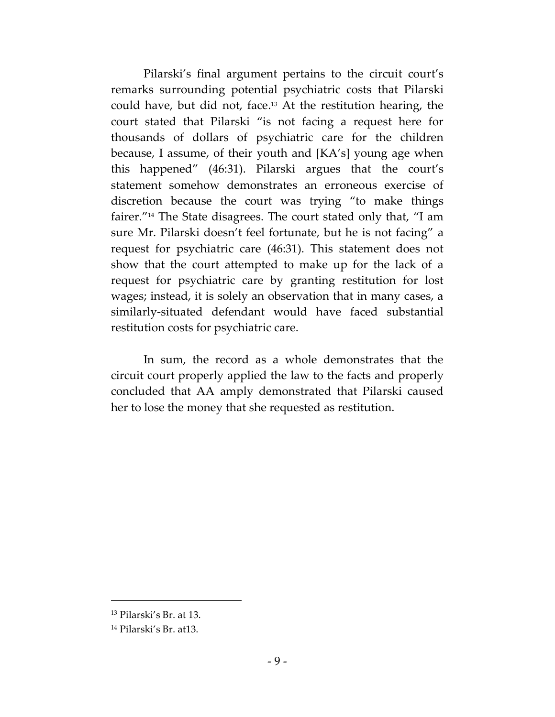Pilarski's final argument pertains to the circuit court's remarks surrounding potential psychiatric costs that Pilarski could have, but did not, face. <sup>13</sup> At the restitution hearing, the court stated that Pilarski "is not facing a request here for thousands of dollars of psychiatric care for the children because, I assume, of their youth and [KA's] young age when this happened" (46:31). Pilarski argues that the court's statement somehow demonstrates an erroneous exercise of discretion because the court was trying "to make things fairer." <sup>14</sup> The State disagrees. The court stated only that, "I am sure Mr. Pilarski doesn't feel fortunate, but he is not facing" a request for psychiatric care (46:31). This statement does not show that the court attempted to make up for the lack of a request for psychiatric care by granting restitution for lost wages; instead, it is solely an observation that in many cases, a similarly-situated defendant would have faced substantial restitution costs for psychiatric care.

In sum, the record as a whole demonstrates that the circuit court properly applied the law to the facts and properly concluded that AA amply demonstrated that Pilarski caused her to lose the money that she requested as restitution.

<sup>13</sup> Pilarski's Br. at 13.

<sup>14</sup> Pilarski's Br. at13.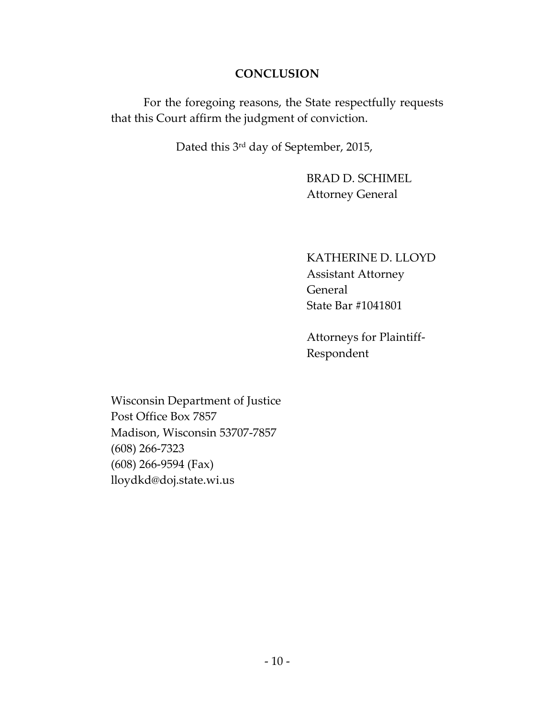### **CONCLUSION**

For the foregoing reasons, the State respectfully requests that this Court affirm the judgment of conviction.

Dated this 3rd day of September, 2015,

BRAD D. SCHIMEL Attorney General

KATHERINE D. LLOYD Assistant Attorney General State Bar #1041801

Attorneys for Plaintiff-Respondent

Wisconsin Department of Justice Post Office Box 7857 Madison, Wisconsin 53707-7857 (608) 266-7323 (608) 266-9594 (Fax) lloydkd@doj.state.wi.us